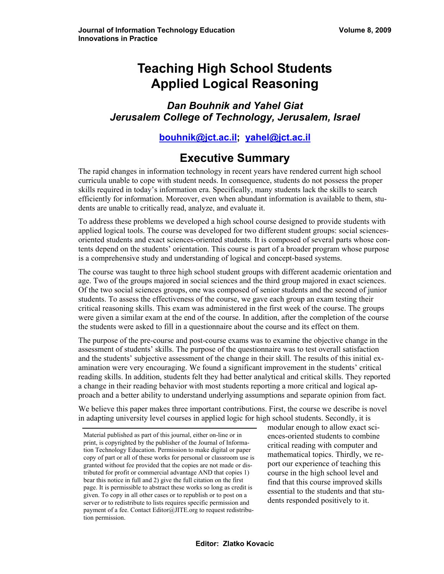# **Teaching High School Students Applied Logical Reasoning**

*Dan Bouhnik and Yahel Giat Jerusalem College of Technology, Jerusalem, Israel* 

**[bouhnik@jct.ac.il;](mailto:bouhnik@jct.ac.il) [yahel@jct.ac.il](mailto:yahel@jct.ac.il)** 

# **Executive Summary**

The rapid changes in information technology in recent years have rendered current high school curricula unable to cope with student needs. In consequence, students do not possess the proper skills required in today's information era. Specifically, many students lack the skills to search efficiently for information. Moreover, even when abundant information is available to them, students are unable to critically read, analyze, and evaluate it.

To address these problems we developed a high school course designed to provide students with applied logical tools. The course was developed for two different student groups: social sciencesoriented students and exact sciences-oriented students. It is composed of several parts whose contents depend on the students' orientation. This course is part of a broader program whose purpose is a comprehensive study and understanding of logical and concept-based systems.

The course was taught to three high school student groups with different academic orientation and age. Two of the groups majored in social sciences and the third group majored in exact sciences. Of the two social sciences groups, one was composed of senior students and the second of junior students. To assess the effectiveness of the course, we gave each group an exam testing their critical reasoning skills. This exam was administered in the first week of the course. The groups were given a similar exam at the end of the course. In addition, after the completion of the course the students were asked to fill in a questionnaire about the course and its effect on them.

The purpose of the pre-course and post-course exams was to examine the objective change in the assessment of students' skills. The purpose of the questionnaire was to test overall satisfaction and the students' subjective assessment of the change in their skill. The results of this initial examination were very encouraging. We found a significant improvement in the students' critical reading skills. In addition, students felt they had better analytical and critical skills. They reported a change in their reading behavior with most students reporting a more critical and logical approach and a better ability to understand underlying assumptions and separate opinion from fact.

We believe this paper makes three important contributions. First, the course we describe is novel in adapting university level courses in applied logic for high school students. Secondly, it is

modular enough to allow exact sciences-oriented students to combine critical reading with computer and mathematical topics. Thirdly, we report our experience of teaching this course in the high school level and find that this course improved skills essential to the students and that students responded positively to it.

Material published as part of this journal, either on-line or in print, is copyrighted by the publisher of the Journal of Information Technology Education. Permission to make digital or paper copy of part or all of these works for personal or classroom use is granted without fee provided that the copies are not made or distributed for profit or commercial advantage AND that copies 1) bear this notice in full and 2) give the full citation on the first page. It is permissible to abstract these works so long as credit is given. To copy in all other cases or to republish or to post on a server or to redistribute to lists requires specific permission and payment of a fee. Contact Editor@JITE.org to request redistribution permission.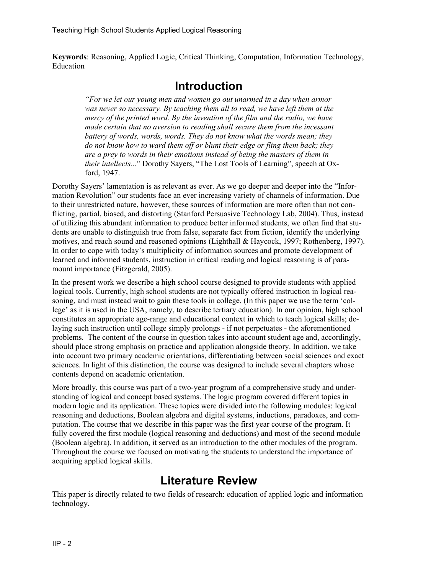**Keywords**: Reasoning, Applied Logic, Critical Thinking, Computation, Information Technology, Education

## **Introduction**

*"For we let our young men and women go out unarmed in a day when armor was never so necessary. By teaching them all to read, we have left them at the mercy of the printed word. By the invention of the film and the radio, we have made certain that no aversion to reading shall secure them from the incessant battery of words, words, words. They do not know what the words mean; they do not know how to ward them off or blunt their edge or fling them back; they are a prey to words in their emotions instead of being the masters of them in their intellects...*" Dorothy Sayers, "The Lost Tools of Learning", speech at Oxford, 1947.

Dorothy Sayers' lamentation is as relevant as ever. As we go deeper and deeper into the "Information Revolution" our students face an ever increasing variety of channels of information. Due to their unrestricted nature, however, these sources of information are more often than not conflicting, partial, biased, and distorting (Stanford Persuasive Technology Lab, 2004). Thus, instead of utilizing this abundant information to produce better informed students, we often find that students are unable to distinguish true from false, separate fact from fiction, identify the underlying motives, and reach sound and reasoned opinions (Lighthall & Haycock, 1997; Rothenberg, 1997). In order to cope with today's multiplicity of information sources and promote development of learned and informed students, instruction in critical reading and logical reasoning is of paramount importance (Fitzgerald, 2005).

In the present work we describe a high school course designed to provide students with applied logical tools. Currently, high school students are not typically offered instruction in logical reasoning, and must instead wait to gain these tools in college. (In this paper we use the term 'college' as it is used in the USA, namely, to describe tertiary education). In our opinion, high school constitutes an appropriate age-range and educational context in which to teach logical skills; delaying such instruction until college simply prolongs - if not perpetuates - the aforementioned problems. The content of the course in question takes into account student age and, accordingly, should place strong emphasis on practice and application alongside theory. In addition, we take into account two primary academic orientations, differentiating between social sciences and exact sciences. In light of this distinction, the course was designed to include several chapters whose contents depend on academic orientation.

More broadly, this course was part of a two-year program of a comprehensive study and understanding of logical and concept based systems. The logic program covered different topics in modern logic and its application. These topics were divided into the following modules: logical reasoning and deductions, Boolean algebra and digital systems, inductions, paradoxes, and computation. The course that we describe in this paper was the first year course of the program. It fully covered the first module (logical reasoning and deductions) and most of the second module (Boolean algebra). In addition, it served as an introduction to the other modules of the program. Throughout the course we focused on motivating the students to understand the importance of acquiring applied logical skills.

## **Literature Review**

This paper is directly related to two fields of research: education of applied logic and information technology.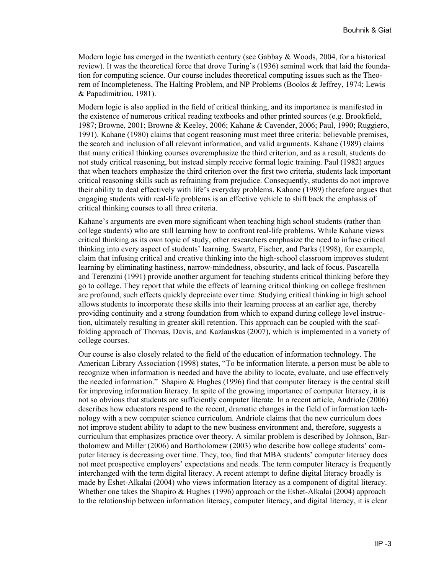Modern logic has emerged in the twentieth century (see Gabbay  $\&$  Woods, 2004, for a historical review). It was the theoretical force that drove Turing's (1936) seminal work that laid the foundation for computing science. Our course includes theoretical computing issues such as the Theorem of Incompleteness, The Halting Problem, and NP Problems (Boolos & Jeffrey, 1974; Lewis & Papadimitriou, 1981).

Modern logic is also applied in the field of critical thinking, and its importance is manifested in the existence of numerous critical reading textbooks and other printed sources (e.g. Brookfield, 1987; Browne, 2001; Browne & Keeley, 2006; Kahane & Cavender, 2006; Paul, 1990; Ruggiero, 1991). Kahane (1980) claims that cogent reasoning must meet three criteria: believable premises, the search and inclusion of all relevant information, and valid arguments. Kahane (1989) claims that many critical thinking courses overemphasize the third criterion, and as a result, students do not study critical reasoning, but instead simply receive formal logic training. Paul (1982) argues that when teachers emphasize the third criterion over the first two criteria, students lack important critical reasoning skills such as refraining from prejudice. Consequently, students do not improve their ability to deal effectively with life's everyday problems. Kahane (1989) therefore argues that engaging students with real-life problems is an effective vehicle to shift back the emphasis of critical thinking courses to all three criteria.

Kahane's arguments are even more significant when teaching high school students (rather than college students) who are still learning how to confront real-life problems. While Kahane views critical thinking as its own topic of study, other researchers emphasize the need to infuse critical thinking into every aspect of students' learning. Swartz, Fischer, and Parks (1998), for example, claim that infusing critical and creative thinking into the high-school classroom improves student learning by eliminating hastiness, narrow-mindedness, obscurity, and lack of focus. Pascarella and Terenzini (1991) provide another argument for teaching students critical thinking before they go to college. They report that while the effects of learning critical thinking on college freshmen are profound, such effects quickly depreciate over time. Studying critical thinking in high school allows students to incorporate these skills into their learning process at an earlier age, thereby providing continuity and a strong foundation from which to expand during college level instruction, ultimately resulting in greater skill retention. This approach can be coupled with the scaffolding approach of Thomas, Davis, and Kazlauskas (2007), which is implemented in a variety of college courses.

Our course is also closely related to the field of the education of information technology. The American Library Association (1998) states, "To be information literate, a person must be able to recognize when information is needed and have the ability to locate, evaluate, and use effectively the needed information." Shapiro & Hughes (1996) find that computer literacy is the central skill for improving information literacy. In spite of the growing importance of computer literacy, it is not so obvious that students are sufficiently computer literate. In a recent article, Andriole (2006) describes how educators respond to the recent, dramatic changes in the field of information technology with a new computer science curriculum. Andriole claims that the new curriculum does not improve student ability to adapt to the new business environment and, therefore, suggests a curriculum that emphasizes practice over theory. A similar problem is described by Johnson, Bartholomew and Miller (2006) and Bartholomew (2003) who describe how college students' computer literacy is decreasing over time. They, too, find that MBA students' computer literacy does not meet prospective employers' expectations and needs. The term computer literacy is frequently interchanged with the term digital literacy. A recent attempt to define digital literacy broadly is made by Eshet-Alkalai (2004) who views information literacy as a component of digital literacy. Whether one takes the Shapiro & Hughes (1996) approach or the Eshet-Alkalai (2004) approach to the relationship between information literacy, computer literacy, and digital literacy, it is clear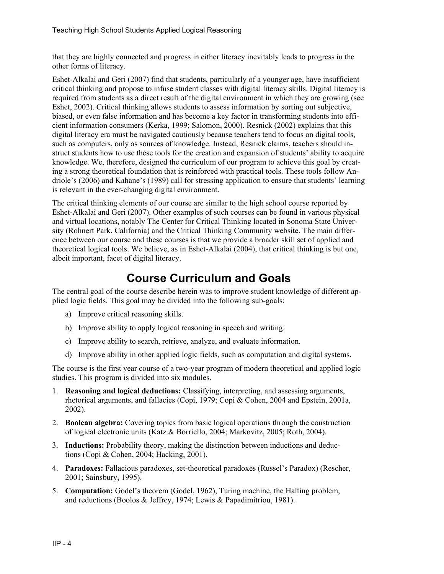that they are highly connected and progress in either literacy inevitably leads to progress in the other forms of literacy.

Eshet-Alkalai and Geri (2007) find that students, particularly of a younger age, have insufficient critical thinking and propose to infuse student classes with digital literacy skills. Digital literacy is required from students as a direct result of the digital environment in which they are growing (see Eshet, 2002). Critical thinking allows students to assess information by sorting out subjective, biased, or even false information and has become a key factor in transforming students into efficient information consumers (Kerka, 1999; Salomon, 2000). Resnick (2002) explains that this digital literacy era must be navigated cautiously because teachers tend to focus on digital tools, such as computers, only as sources of knowledge. Instead, Resnick claims, teachers should instruct students how to use these tools for the creation and expansion of students' ability to acquire knowledge. We, therefore, designed the curriculum of our program to achieve this goal by creating a strong theoretical foundation that is reinforced with practical tools. These tools follow Andriole's (2006) and Kahane's (1989) call for stressing application to ensure that students' learning is relevant in the ever-changing digital environment.

The critical thinking elements of our course are similar to the high school course reported by Eshet-Alkalai and Geri (2007). Other examples of such courses can be found in various physical and virtual locations, notably The Center for Critical Thinking located in Sonoma State University (Rohnert Park, California) and the Critical Thinking Community website. The main difference between our course and these courses is that we provide a broader skill set of applied and theoretical logical tools. We believe, as in Eshet-Alkalai (2004), that critical thinking is but one, albeit important, facet of digital literacy.

## **Course Curriculum and Goals**

The central goal of the course describe herein was to improve student knowledge of different applied logic fields. This goal may be divided into the following sub-goals:

- a) Improve critical reasoning skills.
- b) Improve ability to apply logical reasoning in speech and writing.
- c) Improve ability to search, retrieve, analyze, and evaluate information.
- d) Improve ability in other applied logic fields, such as computation and digital systems.

The course is the first year course of a two-year program of modern theoretical and applied logic studies. This program is divided into six modules.

- 1. **Reasoning and logical deductions:** Classifying, interpreting, and assessing arguments, rhetorical arguments, and fallacies (Copi, 1979; Copi & Cohen, 2004 and Epstein, 2001a, 2002).
- 2. **Boolean algebra:** Covering topics from basic logical operations through the construction of logical electronic units (Katz & Borriello, 2004; Markovitz, 2005; Roth, 2004).
- 3. **Inductions:** Probability theory, making the distinction between inductions and deductions (Copi & Cohen, 2004; Hacking, 2001).
- 4. **Paradoxes:** Fallacious paradoxes, set-theoretical paradoxes (Russel's Paradox) (Rescher, 2001; Sainsbury, 1995).
- 5. **Computation:** Godel's theorem (Godel, 1962), Turing machine, the Halting problem, and reductions (Boolos & Jeffrey, 1974; Lewis & Papadimitriou, 1981).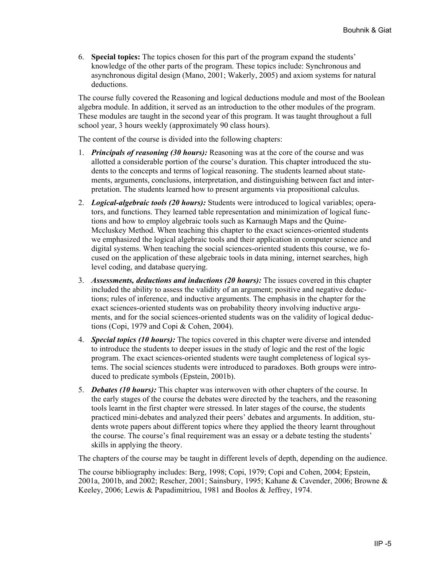6. **Special topics:** The topics chosen for this part of the program expand the students' knowledge of the other parts of the program. These topics include: Synchronous and asynchronous digital design (Mano, 2001; Wakerly, 2005) and axiom systems for natural deductions.

The course fully covered the Reasoning and logical deductions module and most of the Boolean algebra module. In addition, it served as an introduction to the other modules of the program. These modules are taught in the second year of this program. It was taught throughout a full school year, 3 hours weekly (approximately 90 class hours).

The content of the course is divided into the following chapters:

- 1. *Principals of reasoning (30 hours):* Reasoning was at the core of the course and was allotted a considerable portion of the course's duration. This chapter introduced the students to the concepts and terms of logical reasoning. The students learned about statements, arguments, conclusions, interpretation, and distinguishing between fact and interpretation. The students learned how to present arguments via propositional calculus.
- 2. *Logical-algebraic tools (20 hours):* Students were introduced to logical variables; operators, and functions. They learned table representation and minimization of logical functions and how to employ algebraic tools such as Karnaugh Maps and the Quine-Mccluskey Method. When teaching this chapter to the exact sciences-oriented students we emphasized the logical algebraic tools and their application in computer science and digital systems. When teaching the social sciences-oriented students this course, we focused on the application of these algebraic tools in data mining, internet searches, high level coding, and database querying.
- 3. *Assessments, deductions and inductions (20 hours):* The issues covered in this chapter included the ability to assess the validity of an argument; positive and negative deductions; rules of inference, and inductive arguments. The emphasis in the chapter for the exact sciences-oriented students was on probability theory involving inductive arguments, and for the social sciences-oriented students was on the validity of logical deductions (Copi, 1979 and Copi & Cohen, 2004).
- 4. *Special topics (10 hours):* The topics covered in this chapter were diverse and intended to introduce the students to deeper issues in the study of logic and the rest of the logic program. The exact sciences-oriented students were taught completeness of logical systems. The social sciences students were introduced to paradoxes. Both groups were introduced to predicate symbols (Epstein, 2001b).
- 5. *Debates (10 hours):* This chapter was interwoven with other chapters of the course. In the early stages of the course the debates were directed by the teachers, and the reasoning tools learnt in the first chapter were stressed. In later stages of the course, the students practiced mini-debates and analyzed their peers' debates and arguments. In addition, students wrote papers about different topics where they applied the theory learnt throughout the course. The course's final requirement was an essay or a debate testing the students' skills in applying the theory.

The chapters of the course may be taught in different levels of depth, depending on the audience.

The course bibliography includes: Berg, 1998; Copi, 1979; Copi and Cohen, 2004; Epstein, 2001a, 2001b, and 2002; Rescher, 2001; Sainsbury, 1995; Kahane & Cavender, 2006; Browne & Keeley, 2006; Lewis & Papadimitriou, 1981 and Boolos & Jeffrey, 1974.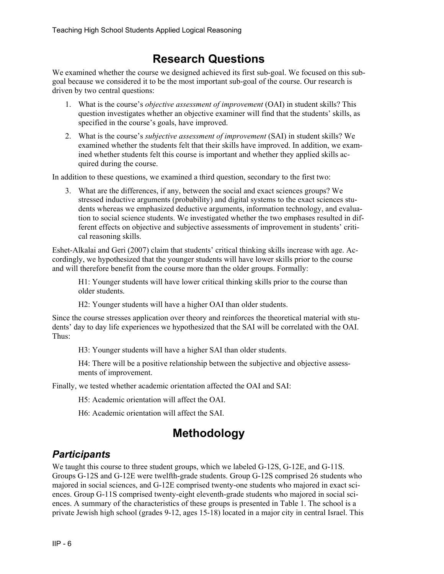## **Research Questions**

We examined whether the course we designed achieved its first sub-goal. We focused on this subgoal because we considered it to be the most important sub-goal of the course. Our research is driven by two central questions:

- 1. What is the course's *objective assessment of improvement* (OAI) in student skills? This question investigates whether an objective examiner will find that the students' skills, as specified in the course's goals, have improved.
- 2. What is the course's *subjective assessment of improvement* (SAI) in student skills? We examined whether the students felt that their skills have improved. In addition, we examined whether students felt this course is important and whether they applied skills acquired during the course.

In addition to these questions, we examined a third question, secondary to the first two:

3. What are the differences, if any, between the social and exact sciences groups? We stressed inductive arguments (probability) and digital systems to the exact sciences students whereas we emphasized deductive arguments, information technology, and evaluation to social science students. We investigated whether the two emphases resulted in different effects on objective and subjective assessments of improvement in students' critical reasoning skills.

Eshet-Alkalai and Geri (2007) claim that students' critical thinking skills increase with age. Accordingly, we hypothesized that the younger students will have lower skills prior to the course and will therefore benefit from the course more than the older groups. Formally:

H1: Younger students will have lower critical thinking skills prior to the course than older students.

H2: Younger students will have a higher OAI than older students.

Since the course stresses application over theory and reinforces the theoretical material with students' day to day life experiences we hypothesized that the SAI will be correlated with the OAI. Thus:

H3: Younger students will have a higher SAI than older students.

H4: There will be a positive relationship between the subjective and objective assessments of improvement.

Finally, we tested whether academic orientation affected the OAI and SAI:

H5: Academic orientation will affect the OAI.

H6: Academic orientation will affect the SAI.

## **Methodology**

#### *Participants*

We taught this course to three student groups, which we labeled G-12S, G-12E, and G-11S. Groups G-12S and G-12E were twelfth-grade students. Group G-12S comprised 26 students who majored in social sciences, and G-12E comprised twenty-one students who majored in exact sciences. Group G-11S comprised twenty-eight eleventh-grade students who majored in social sciences. A summary of the characteristics of these groups is presented in Table 1. The school is a private Jewish high school (grades 9-12, ages 15-18) located in a major city in central Israel. This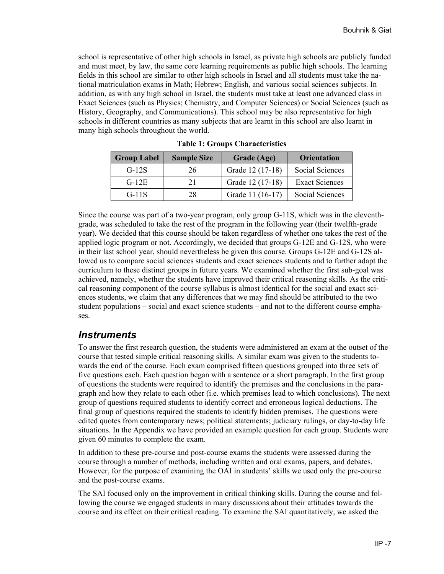school is representative of other high schools in Israel, as private high schools are publicly funded and must meet, by law, the same core learning requirements as public high schools. The learning fields in this school are similar to other high schools in Israel and all students must take the national matriculation exams in Math; Hebrew; English, and various social sciences subjects. In addition, as with any high school in Israel, the students must take at least one advanced class in Exact Sciences (such as Physics; Chemistry, and Computer Sciences) or Social Sciences (such as History, Geography, and Communications). This school may be also representative for high schools in different countries as many subjects that are learnt in this school are also learnt in many high schools throughout the world.

| <b>Group Label</b> | <b>Sample Size</b> | Grade (Age)      | <b>Orientation</b>    |
|--------------------|--------------------|------------------|-----------------------|
| $G-12S$            | 26                 | Grade 12 (17-18) | Social Sciences       |
| $G-12E$            | 21                 | Grade 12 (17-18) | <b>Exact Sciences</b> |
| $G-11S$            | 28                 | Grade 11 (16-17) | Social Sciences       |

**Table 1: Groups Characteristics** 

Since the course was part of a two-year program, only group G-11S, which was in the eleventhgrade, was scheduled to take the rest of the program in the following year (their twelfth-grade year). We decided that this course should be taken regardless of whether one takes the rest of the applied logic program or not. Accordingly, we decided that groups G-12E and G-12S, who were in their last school year, should nevertheless be given this course. Groups G-12E and G-12S allowed us to compare social sciences students and exact sciences students and to further adapt the curriculum to these distinct groups in future years. We examined whether the first sub-goal was achieved, namely, whether the students have improved their critical reasoning skills. As the critical reasoning component of the course syllabus is almost identical for the social and exact sciences students, we claim that any differences that we may find should be attributed to the two student populations – social and exact science students – and not to the different course emphases.

#### *Instruments*

To answer the first research question, the students were administered an exam at the outset of the course that tested simple critical reasoning skills. A similar exam was given to the students towards the end of the course. Each exam comprised fifteen questions grouped into three sets of five questions each. Each question began with a sentence or a short paragraph. In the first group of questions the students were required to identify the premises and the conclusions in the paragraph and how they relate to each other (i.e. which premises lead to which conclusions). The next group of questions required students to identify correct and erroneous logical deductions. The final group of questions required the students to identify hidden premises. The questions were edited quotes from contemporary news; political statements; judiciary rulings, or day-to-day life situations. In the Appendix we have provided an example question for each group. Students were given 60 minutes to complete the exam.

In addition to these pre-course and post-course exams the students were assessed during the course through a number of methods, including written and oral exams, papers, and debates. However, for the purpose of examining the OAI in students' skills we used only the pre-course and the post-course exams.

The SAI focused only on the improvement in critical thinking skills. During the course and following the course we engaged students in many discussions about their attitudes towards the course and its effect on their critical reading. To examine the SAI quantitatively, we asked the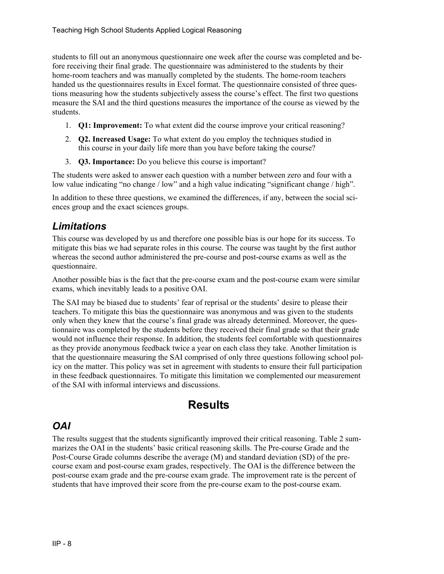students to fill out an anonymous questionnaire one week after the course was completed and before receiving their final grade. The questionnaire was administered to the students by their home-room teachers and was manually completed by the students. The home-room teachers handed us the questionnaires results in Excel format. The questionnaire consisted of three questions measuring how the students subjectively assess the course's effect. The first two questions measure the SAI and the third questions measures the importance of the course as viewed by the students.

- 1. **Q1: Improvement:** To what extent did the course improve your critical reasoning?
- 2. **Q2. Increased Usage:** To what extent do you employ the techniques studied in this course in your daily life more than you have before taking the course?
- 3. **Q3. Importance:** Do you believe this course is important?

The students were asked to answer each question with a number between zero and four with a low value indicating "no change / low" and a high value indicating "significant change / high".

In addition to these three questions, we examined the differences, if any, between the social sciences group and the exact sciences groups.

#### *Limitations*

This course was developed by us and therefore one possible bias is our hope for its success. To mitigate this bias we had separate roles in this course. The course was taught by the first author whereas the second author administered the pre-course and post-course exams as well as the questionnaire.

Another possible bias is the fact that the pre-course exam and the post-course exam were similar exams, which inevitably leads to a positive OAI.

The SAI may be biased due to students' fear of reprisal or the students' desire to please their teachers. To mitigate this bias the questionnaire was anonymous and was given to the students only when they knew that the course's final grade was already determined. Moreover, the questionnaire was completed by the students before they received their final grade so that their grade would not influence their response. In addition, the students feel comfortable with questionnaires as they provide anonymous feedback twice a year on each class they take. Another limitation is that the questionnaire measuring the SAI comprised of only three questions following school policy on the matter. This policy was set in agreement with students to ensure their full participation in these feedback questionnaires. To mitigate this limitation we complemented our measurement of the SAI with informal interviews and discussions.

## **Results**

#### *OAI*

The results suggest that the students significantly improved their critical reasoning. Table 2 summarizes the OAI in the students' basic critical reasoning skills. The Pre-course Grade and the Post-Course Grade columns describe the average (M) and standard deviation (SD) of the precourse exam and post-course exam grades, respectively. The OAI is the difference between the post-course exam grade and the pre-course exam grade. The improvement rate is the percent of students that have improved their score from the pre-course exam to the post-course exam.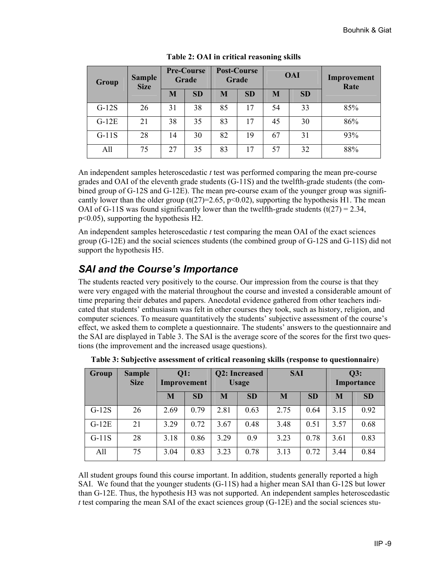| <b>Sample</b><br>Group<br><b>Size</b> |    | <b>Pre-Course</b><br>Grade |           | Post-Course<br>Grade |           | <b>OAI</b> |           | Improvement<br>Rate |  |
|---------------------------------------|----|----------------------------|-----------|----------------------|-----------|------------|-----------|---------------------|--|
|                                       |    | M                          | <b>SD</b> | M                    | <b>SD</b> | M          | <b>SD</b> |                     |  |
| $G-12S$                               | 26 | 31                         | 38        | 85                   | 17        | 54         | 33        | 85%                 |  |
| $G-12E$                               | 21 | 38                         | 35        | 83                   | 17        | 45         | 30        | 86%                 |  |
| $G-11S$                               | 28 | 14                         | 30        | 82                   | 19        | 67         | 31        | 93%                 |  |
| All                                   | 75 | 27                         | 35        | 83                   | 17        | 57         | 32        | 88%                 |  |

**Table 2: OAI in critical reasoning skills**

An independent samples heteroscedastic *t* test was performed comparing the mean pre-course grades and OAI of the eleventh grade students (G-11S) and the twelfth-grade students (the combined group of G-12S and G-12E). The mean pre-course exam of the younger group was significantly lower than the older group (t(27)=2.65, p<0.02), supporting the hypothesis H1. The mean OAI of G-11S was found significantly lower than the twelfth-grade students (t( $27$ ) = 2.34, p<0.05), supporting the hypothesis H2.

An independent samples heteroscedastic *t* test comparing the mean OAI of the exact sciences group (G-12E) and the social sciences students (the combined group of G-12S and G-11S) did not support the hypothesis H5.

## *SAI and the Course's Importance*

The students reacted very positively to the course. Our impression from the course is that they were very engaged with the material throughout the course and invested a considerable amount of time preparing their debates and papers. Anecdotal evidence gathered from other teachers indicated that students' enthusiasm was felt in other courses they took, such as history, religion, and computer sciences. To measure quantitatively the students' subjective assessment of the course's effect, we asked them to complete a questionnaire. The students' answers to the questionnaire and the SAI are displayed in Table 3. The SAI is the average score of the scores for the first two questions (the improvement and the increased usage questions).

| <b>Group</b> | <b>Sample</b><br><b>Size</b> | <b>Q1:</b><br>Improvement |           | Q2: Increased<br><b>Usage</b> |           | <b>SAI</b> |           | Q3:<br>Importance |           |
|--------------|------------------------------|---------------------------|-----------|-------------------------------|-----------|------------|-----------|-------------------|-----------|
|              |                              | M                         | <b>SD</b> | M                             | <b>SD</b> | M          | <b>SD</b> | M                 | <b>SD</b> |
| $G-12S$      | 26                           | 2.69                      | 0.79      | 2.81                          | 0.63      | 2.75       | 0.64      | 3.15              | 0.92      |
| $G-12E$      | 21                           | 3.29                      | 0.72      | 3.67                          | 0.48      | 3.48       | 0.51      | 3.57              | 0.68      |
| $G-11S$      | 28                           | 3.18                      | 0.86      | 3.29                          | 0.9       | 3.23       | 0.78      | 3.61              | 0.83      |
| All          | 75                           | 3.04                      | 0.83      | 3.23                          | 0.78      | 3.13       | 0.72      | 3.44              | 0.84      |

**Table 3: Subjective assessment of critical reasoning skills (response to questionnaire**)

All student groups found this course important. In addition, students generally reported a high SAI. We found that the younger students (G-11S) had a higher mean SAI than G-12S but lower than G-12E. Thus, the hypothesis H3 was not supported. An independent samples heteroscedastic *t* test comparing the mean SAI of the exact sciences group (G-12E) and the social sciences stu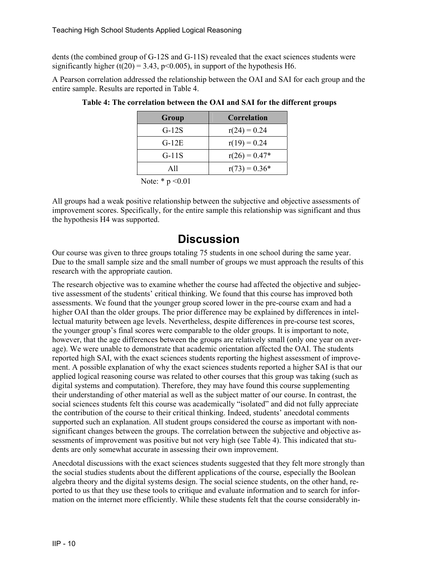dents (the combined group of G-12S and G-11S) revealed that the exact sciences students were significantly higher (t(20) = 3.43, p < 0.005), in support of the hypothesis H6.

A Pearson correlation addressed the relationship between the OAI and SAI for each group and the entire sample. Results are reported in Table 4.

| Group                  | <b>Correlation</b> |
|------------------------|--------------------|
| $G-12S$                | $r(24) = 0.24$     |
| $G-12E$                | $r(19) = 0.24$     |
| $G-11S$                | $r(26) = 0.47*$    |
| All                    | $r(73) = 0.36*$    |
| <b>T</b><br>$\sim$ 0.1 |                    |

| Table 4: The correlation between the OAI and SAI for the different groups |  |  |  |
|---------------------------------------------------------------------------|--|--|--|
|                                                                           |  |  |  |

Note:  $* p < 0.01$ 

All groups had a weak positive relationship between the subjective and objective assessments of improvement scores. Specifically, for the entire sample this relationship was significant and thus the hypothesis H4 was supported.

## **Discussion**

Our course was given to three groups totaling 75 students in one school during the same year. Due to the small sample size and the small number of groups we must approach the results of this research with the appropriate caution.

The research objective was to examine whether the course had affected the objective and subjective assessment of the students' critical thinking. We found that this course has improved both assessments. We found that the younger group scored lower in the pre-course exam and had a higher OAI than the older groups. The prior difference may be explained by differences in intellectual maturity between age levels. Nevertheless, despite differences in pre-course test scores, the younger group's final scores were comparable to the older groups. It is important to note, however, that the age differences between the groups are relatively small (only one year on average). We were unable to demonstrate that academic orientation affected the OAI. The students reported high SAI, with the exact sciences students reporting the highest assessment of improvement. A possible explanation of why the exact sciences students reported a higher SAI is that our applied logical reasoning course was related to other courses that this group was taking (such as digital systems and computation). Therefore, they may have found this course supplementing their understanding of other material as well as the subject matter of our course. In contrast, the social sciences students felt this course was academically "isolated" and did not fully appreciate the contribution of the course to their critical thinking. Indeed, students' anecdotal comments supported such an explanation. All student groups considered the course as important with nonsignificant changes between the groups. The correlation between the subjective and objective assessments of improvement was positive but not very high (see Table 4). This indicated that students are only somewhat accurate in assessing their own improvement.

Anecdotal discussions with the exact sciences students suggested that they felt more strongly than the social studies students about the different applications of the course, especially the Boolean algebra theory and the digital systems design. The social science students, on the other hand, reported to us that they use these tools to critique and evaluate information and to search for information on the internet more efficiently. While these students felt that the course considerably in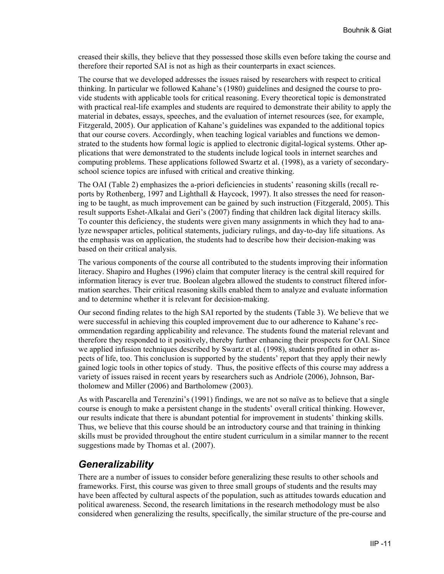creased their skills, they believe that they possessed those skills even before taking the course and therefore their reported SAI is not as high as their counterparts in exact sciences.

The course that we developed addresses the issues raised by researchers with respect to critical thinking. In particular we followed Kahane's (1980) guidelines and designed the course to provide students with applicable tools for critical reasoning. Every theoretical topic is demonstrated with practical real-life examples and students are required to demonstrate their ability to apply the material in debates, essays, speeches, and the evaluation of internet resources (see, for example, Fitzgerald, 2005). Our application of Kahane's guidelines was expanded to the additional topics that our course covers. Accordingly, when teaching logical variables and functions we demonstrated to the students how formal logic is applied to electronic digital-logical systems. Other applications that were demonstrated to the students include logical tools in internet searches and computing problems. These applications followed Swartz et al. (1998), as a variety of secondaryschool science topics are infused with critical and creative thinking.

The OAI (Table 2) emphasizes the a-priori deficiencies in students' reasoning skills (recall reports by Rothenberg, 1997 and Lighthall & Haycock, 1997). It also stresses the need for reasoning to be taught, as much improvement can be gained by such instruction (Fitzgerald, 2005). This result supports Eshet-Alkalai and Geri's (2007) finding that children lack digital literacy skills. To counter this deficiency, the students were given many assignments in which they had to analyze newspaper articles, political statements, judiciary rulings, and day-to-day life situations. As the emphasis was on application, the students had to describe how their decision-making was based on their critical analysis.

The various components of the course all contributed to the students improving their information literacy. Shapiro and Hughes (1996) claim that computer literacy is the central skill required for information literacy is ever true. Boolean algebra allowed the students to construct filtered information searches. Their critical reasoning skills enabled them to analyze and evaluate information and to determine whether it is relevant for decision-making.

Our second finding relates to the high SAI reported by the students (Table 3). We believe that we were successful in achieving this coupled improvement due to our adherence to Kahane's recommendation regarding applicability and relevance. The students found the material relevant and therefore they responded to it positively, thereby further enhancing their prospects for OAI. Since we applied infusion techniques described by Swartz et al. (1998), students profited in other aspects of life, too. This conclusion is supported by the students' report that they apply their newly gained logic tools in other topics of study. Thus, the positive effects of this course may address a variety of issues raised in recent years by researchers such as Andriole (2006), Johnson, Bartholomew and Miller (2006) and Bartholomew (2003).

As with Pascarella and Terenzini's (1991) findings, we are not so naïve as to believe that a single course is enough to make a persistent change in the students' overall critical thinking. However, our results indicate that there is abundant potential for improvement in students' thinking skills. Thus, we believe that this course should be an introductory course and that training in thinking skills must be provided throughout the entire student curriculum in a similar manner to the recent suggestions made by Thomas et al. (2007).

#### *Generalizability*

There are a number of issues to consider before generalizing these results to other schools and frameworks. First, this course was given to three small groups of students and the results may have been affected by cultural aspects of the population, such as attitudes towards education and political awareness. Second, the research limitations in the research methodology must be also considered when generalizing the results, specifically, the similar structure of the pre-course and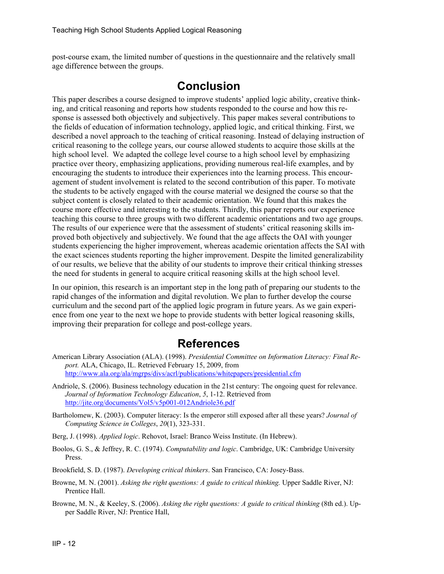post-course exam, the limited number of questions in the questionnaire and the relatively small age difference between the groups.

## **Conclusion**

This paper describes a course designed to improve students' applied logic ability, creative thinking, and critical reasoning and reports how students responded to the course and how this response is assessed both objectively and subjectively. This paper makes several contributions to the fields of education of information technology, applied logic, and critical thinking. First, we described a novel approach to the teaching of critical reasoning. Instead of delaying instruction of critical reasoning to the college years, our course allowed students to acquire those skills at the high school level. We adapted the college level course to a high school level by emphasizing practice over theory, emphasizing applications, providing numerous real-life examples, and by encouraging the students to introduce their experiences into the learning process. This encouragement of student involvement is related to the second contribution of this paper. To motivate the students to be actively engaged with the course material we designed the course so that the subject content is closely related to their academic orientation. We found that this makes the course more effective and interesting to the students. Thirdly, this paper reports our experience teaching this course to three groups with two different academic orientations and two age groups. The results of our experience were that the assessment of students' critical reasoning skills improved both objectively and subjectively. We found that the age affects the OAI with younger students experiencing the higher improvement, whereas academic orientation affects the SAI with the exact sciences students reporting the higher improvement. Despite the limited generalizability of our results, we believe that the ability of our students to improve their critical thinking stresses the need for students in general to acquire critical reasoning skills at the high school level.

In our opinion, this research is an important step in the long path of preparing our students to the rapid changes of the information and digital revolution. We plan to further develop the course curriculum and the second part of the applied logic program in future years. As we gain experience from one year to the next we hope to provide students with better logical reasoning skills, improving their preparation for college and post-college years.

# **References**

- American Library Association (ALA). (1998). *Presidential Committee on Information Literacy: Final Report.* ALA, Chicago, IL. Retrieved February 15, 2009, from <http://www.ala.org/ala/mgrps/divs/acrl/publications/whitepapers/presidential.cfm>
- Andriole, S. (2006). Business technology education in the 21st century: The ongoing quest for relevance. *Journal of Information Technology Education*, *5*, 1-12. Retrieved from <http://jite.org/documents/Vol5/v5p001-012Andriole36.pdf>
- Bartholomew, K. (2003). Computer literacy: Is the emperor still exposed after all these years? *Journal of Computing Science in Colleges*, *20*(1), 323-331.
- Berg, J. (1998). *Applied logic*. Rehovot, Israel: Branco Weiss Institute. (In Hebrew).
- Boolos, G. S., & Jeffrey, R. C. (1974). *Computability and logic*. Cambridge, UK: Cambridge University Press.
- Brookfield, S. D. (1987). *Developing critical thinkers*. San Francisco, CA: Josey-Bass.
- Browne, M. N. (2001). *Asking the right questions: A guide to critical thinking.* Upper Saddle River, NJ: Prentice Hall.
- Browne, M. N., & Keeley, S. (2006). *Asking the right questions: A guide to critical thinking* (8th ed.). Upper Saddle River, NJ: Prentice Hall,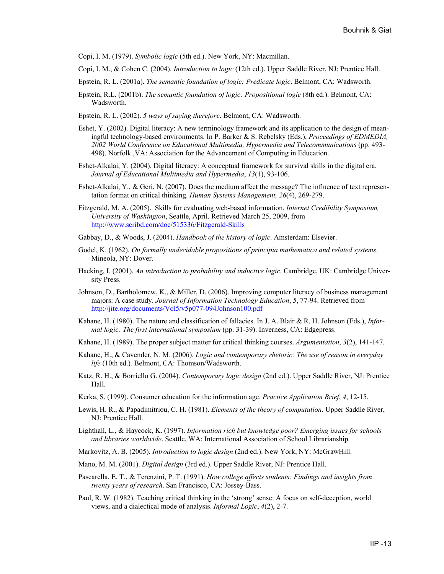Copi, I. M. (1979). *Symbolic logic* (5th ed.). New York, NY: Macmillan.

- Copi, I. M., & Cohen C. (2004). *Introduction to logic* (12th ed.). Upper Saddle River, NJ: Prentice Hall.
- Epstein, R. L. (2001a). *The semantic foundation of logic: Predicate logic*. Belmont, CA: Wadsworth.
- Epstein, R.L. (2001b). *The semantic foundation of logic: Propositional logic* (8th ed.). Belmont, CA: Wadsworth.
- Epstein, R. L. (2002). *5 ways of saying therefore*. Belmont, CA: Wadsworth.
- Eshet, Y. (2002). Digital literacy: A new terminology framework and its application to the design of meaningful technology-based environments. In P. Barker & S. Rebelsky (Eds.), *Proceedings of EDMEDIA, 2002 World Conference on Educational Multimedia, Hypermedia and Telecommunications* (pp. 493- 498). Norfolk ,VA: Association for the Advancement of Computing in Education.
- Eshet-Alkalai, Y. (2004). Digital literacy: A conceptual framework for survival skills in the digital era. *Journal of Educational Multimedia and Hypermedia*, *13*(1), 93-106.
- Eshet-Alkalai, Y., & Geri, N. (2007). Does the medium affect the message? The influence of text representation format on critical thinking. *Human Systems Management, 26*(4), 269-279.
- Fitzgerald, M. A. (2005). Skills for evaluating web-based information. *Internet Credibility Symposium, University of Washington*, Seattle, April. Retrieved March 25, 2009, from <http://www.scribd.com/doc/515336/Fitzgerald-Skills>
- Gabbay, D., & Woods, J. (2004). *Handbook of the history of logic*. Amsterdam: Elsevier.
- Godel, K. (1962). *On formally undecidable propositions of principia mathematica and related systems*. Mineola, NY: Dover.
- Hacking, I. (2001). *An introduction to probability and inductive logic*. Cambridge, UK: Cambridge University Press.
- Johnson, D., Bartholomew, K., & Miller, D. (2006). Improving computer literacy of business management majors: A case study. *Journal of Information Technology Education*, *5*, 77-94. Retrieved from <http://jite.org/documents/Vol5/v5p077-094Johnson100.pdf>
- Kahane, H. (1980). The nature and classification of fallacies. In J. A. Blair & R. H. Johnson (Eds.), *Informal logic: The first international symposium* (pp. 31-39). Inverness, CA: Edgepress.
- Kahane, H. (1989). The proper subject matter for critical thinking courses. *Argumentation*, *3*(2), 141-147.
- Kahane, H., & Cavender, N. M. (2006). *Logic and contemporary rhetoric: The use of reason in everyday life* (10th ed.)*.* Belmont, CA: Thomson/Wadsworth.
- Katz, R. H., & Borriello G. (2004). *Contemporary logic design* (2nd ed.). Upper Saddle River, NJ: Prentice Hall.
- Kerka, S. (1999). Consumer education for the information age. *Practice Application Brief*, *4*, 12-15.
- Lewis, H. R., & Papadimitriou, C. H. (1981). *Elements of the theory of computation*. Upper Saddle River, NJ: Prentice Hall.
- Lighthall, L., & Haycock, K. (1997). *Information rich but knowledge poor? Emerging issues for schools and libraries worldwide*. Seattle, WA: International Association of School Librarianship.
- Markovitz, A. B. (2005). *Introduction to logic design* (2nd ed.). New York, NY: McGrawHill.
- Mano, M. M. (2001). *Digital design* (3rd ed.). Upper Saddle River, NJ: Prentice Hall.
- Pascarella, E. T., & Terenzini, P. T. (1991). *How college affects students: Findings and insights from twenty years of research*. San Francisco, CA: Jossey-Bass.
- Paul, R. W. (1982). Teaching critical thinking in the 'strong' sense: A focus on self-deception, world views, and a dialectical mode of analysis. *Informal Logic*, *4*(2), 2-7.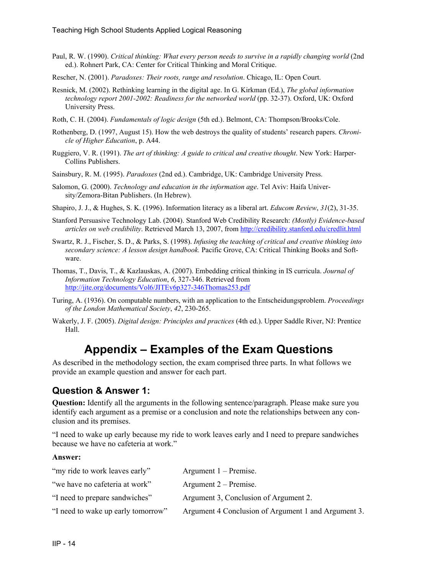- Paul, R. W. (1990). *Critical thinking: What every person needs to survive in a rapidly changing world* (2nd ed.). Rohnert Park, CA: Center for Critical Thinking and Moral Critique.
- Rescher, N. (2001). *Paradoxes: Their roots, range and resolution*. Chicago, IL: Open Court.
- Resnick, M. (2002). Rethinking learning in the digital age. In G. Kirkman (Ed.), *The global information technology report 2001-2002: Readiness for the networked world* (pp. 32-37). Oxford, UK: Oxford University Press.
- Roth, C. H. (2004). *Fundamentals of logic design* (5th ed.). Belmont, CA: Thompson/Brooks/Cole.
- Rothenberg, D. (1997, August 15). How the web destroys the quality of students' research papers. *Chronicle of Higher Education*, p. A44.
- Ruggiero, V. R. (1991). *The art of thinking: A guide to critical and creative thought*. New York: Harper-Collins Publishers.
- Sainsbury, R. M. (1995). *Paradoxes* (2nd ed.). Cambridge, UK: Cambridge University Press.
- Salomon, G. (2000). *Technology and education in the information age*. Tel Aviv: Haifa University/Zemora-Bitan Publishers. (In Hebrew).
- Shapiro, J. J., & Hughes, S. K. (1996). Information literacy as a liberal art. *Educom Review*, *31*(2), 31-35.
- Stanford Persuasive Technology Lab. (2004). Stanford Web Credibility Research: *(Mostly) Evidence-based articles on web credibility*. Retrieved March 13, 2007, from <http://credibility.stanford.edu/credlit.html>
- Swartz, R. J., Fischer, S. D., & Parks, S. (1998). *Infusing the teaching of critical and creative thinking into secondary science: A lesson design handbook.* Pacific Grove, CA: Critical Thinking Books and Software.
- Thomas, T., Davis, T., & Kazlauskas, A. (2007). Embedding critical thinking in IS curricula. *Journal of Information Technology Education*, *6*, 327-346. Retrieved from <http://jite.org/documents/Vol6/JITEv6p327-346Thomas253.pdf>
- Turing, A. (1936). [On computable numbers, with an application to the Entscheidungsproblem](http://scholar.google.com/url?sa=U&q=http://www.abelard.org/turpap2/turpap2.htm). *Proceedings of the London Mathematical Society*, *42*, 230-265.
- Wakerly, J. F. (2005). *Digital design: Principles and practices* (4th ed.). Upper Saddle River, NJ: Prentice Hall.

## **Appendix – Examples of the Exam Questions**

As described in the methodology section, the exam comprised three parts. In what follows we provide an example question and answer for each part.

#### **Question & Answer 1:**

**Question:** Identify all the arguments in the following sentence/paragraph. Please make sure you identify each argument as a premise or a conclusion and note the relationships between any conclusion and its premises.

"I need to wake up early because my ride to work leaves early and I need to prepare sandwiches because we have no cafeteria at work."

#### **Answer:**

| "my ride to work leaves early"     | Argument $1 -$ Premise.                             |
|------------------------------------|-----------------------------------------------------|
| "we have no cafeteria at work"     | Argument $2$ – Premise.                             |
| "I need to prepare sandwiches"     | Argument 3, Conclusion of Argument 2.               |
| "I need to wake up early tomorrow" | Argument 4 Conclusion of Argument 1 and Argument 3. |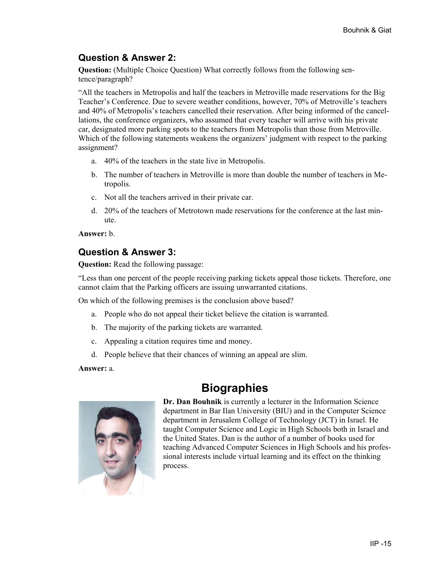#### **Question & Answer 2:**

**Question:** (Multiple Choice Question) What correctly follows from the following sentence/paragraph?

"All the teachers in Metropolis and half the teachers in Metroville made reservations for the Big Teacher's Conference. Due to severe weather conditions, however, 70% of Metroville's teachers and 40% of Metropolis's teachers cancelled their reservation. After being informed of the cancellations, the conference organizers, who assumed that every teacher will arrive with his private car, designated more parking spots to the teachers from Metropolis than those from Metroville. Which of the following statements weakens the organizers' judgment with respect to the parking assignment?

- a. 40% of the teachers in the state live in Metropolis.
- b. The number of teachers in Metroville is more than double the number of teachers in Metropolis.
- c. Not all the teachers arrived in their private car.
- d. 20% of the teachers of Metrotown made reservations for the conference at the last minute.

**Answer:** b.

#### **Question & Answer 3:**

**Question:** Read the following passage:

"Less than one percent of the people receiving parking tickets appeal those tickets. Therefore, one cannot claim that the Parking officers are issuing unwarranted citations.

On which of the following premises is the conclusion above based?

- a. People who do not appeal their ticket believe the citation is warranted.
- b. The majority of the parking tickets are warranted.
- c. Appealing a citation requires time and money.
- d. People believe that their chances of winning an appeal are slim.

**Answer:** a.





**Dr. Dan Bouhnik** is currently a lecturer in the Information Science department in Bar Ilan University (BIU) and in the Computer Science department in Jerusalem College of Technology (JCT) in Israel. He taught Computer Science and Logic in High Schools both in Israel and the United States. Dan is the author of a number of books used for teaching Advanced Computer Sciences in High Schools and his professional interests include virtual learning and its effect on the thinking process.